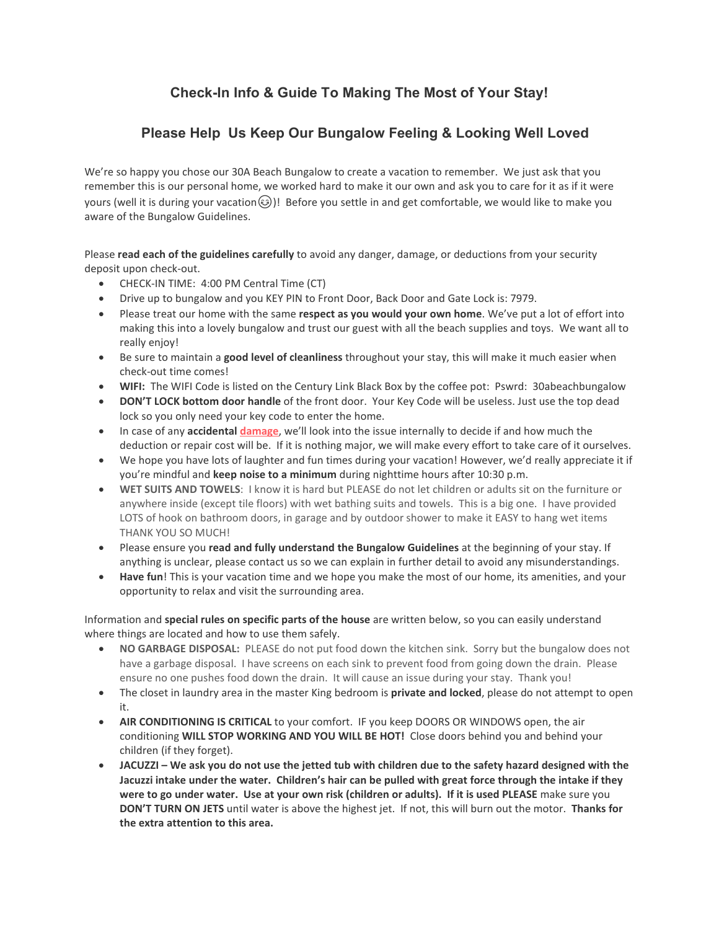## **Check-In Info & Guide To Making The Most of Your Stay!**

## **Please Help Us Keep Our Bungalow Feeling & Looking Well Loved**

We're so happy you chose our 30A Beach Bungalow to create a vacation to remember. We just ask that you remember this is our personal home, we worked hard to make it our own and ask you to care for it as if it were yours (well it is during your vacation $\circled{)}$ ! Before you settle in and get comfortable, we would like to make you aware of the Bungalow Guidelines.

Please **read each of the guidelines carefully** to avoid any danger, damage, or deductions from your security deposit upon check-out.

- CHECK-IN TIME: 4:00 PM Central Time (CT)
- Drive up to bungalow and you KEY PIN to Front Door, Back Door and Gate Lock is: 7979.
- Please treat our home with the same **respect as you would your own home**. We've put a lot of effort into making this into a lovely bungalow and trust our guest with all the beach supplies and toys. We want all to really enjoy!
- Be sure to maintain a **good level of cleanliness** throughout your stay, this will make it much easier when check-out time comes!
- **WIFI:** The WIFI Code is listed on the Century Link Black Box by the coffee pot: Pswrd: 30abeachbungalow
- **DON'T LOCK bottom door handle** of the front door. Your Key Code will be useless. Just use the top dead lock so you only need your key code to enter the home.
- In case of any **accidental [damage](https://www.lodgify.com/blog/vacation-rental-damage-deposits/)**, we'll look into the issue internally to decide if and how much the deduction or repair cost will be. If it is nothing major, we will make every effort to take care of it ourselves.
- We hope you have lots of laughter and fun times during your vacation! However, we'd really appreciate it if you're mindful and **keep noise to a minimum** during nighttime hours after 10:30 p.m.
- **WET SUITS AND TOWELS**: I know it is hard but PLEASE do not let children or adults sit on the furniture or anywhere inside (except tile floors) with wet bathing suits and towels. This is a big one. I have provided LOTS of hook on bathroom doors, in garage and by outdoor shower to make it EASY to hang wet items THANK YOU SO MUCH!
- Please ensure you **read and fully understand the Bungalow Guidelines** at the beginning of your stay. If anything is unclear, please contact us so we can explain in further detail to avoid any misunderstandings.
- **Have fun**! This is your vacation time and we hope you make the most of our home, its amenities, and your opportunity to relax and visit the surrounding area.

Information and **special rules on specific parts of the house** are written below, so you can easily understand where things are located and how to use them safely.

- **NO GARBAGE DISPOSAL:** PLEASE do not put food down the kitchen sink. Sorry but the bungalow does not have a garbage disposal. I have screens on each sink to prevent food from going down the drain. Please ensure no one pushes food down the drain. It will cause an issue during your stay. Thank you!
- The closet in laundry area in the master King bedroom is **private and locked**, please do not attempt to open it.
- **AIR CONDITIONING IS CRITICAL** to your comfort. IF you keep DOORS OR WINDOWS open, the air conditioning **WILL STOP WORKING AND YOU WILL BE HOT!** Close doors behind you and behind your children (if they forget).
- **JACUZZI – We ask you do not use the jetted tub with children due to the safety hazard designed with the Jacuzzi intake under the water. Children's hair can be pulled with great force through the intake if they were to go under water. Use at your own risk (children or adults). If it is used PLEASE** make sure you **DON'T TURN ON JETS** until water is above the highest jet. If not, this will burn out the motor. **Thanks for the extra attention to this area.**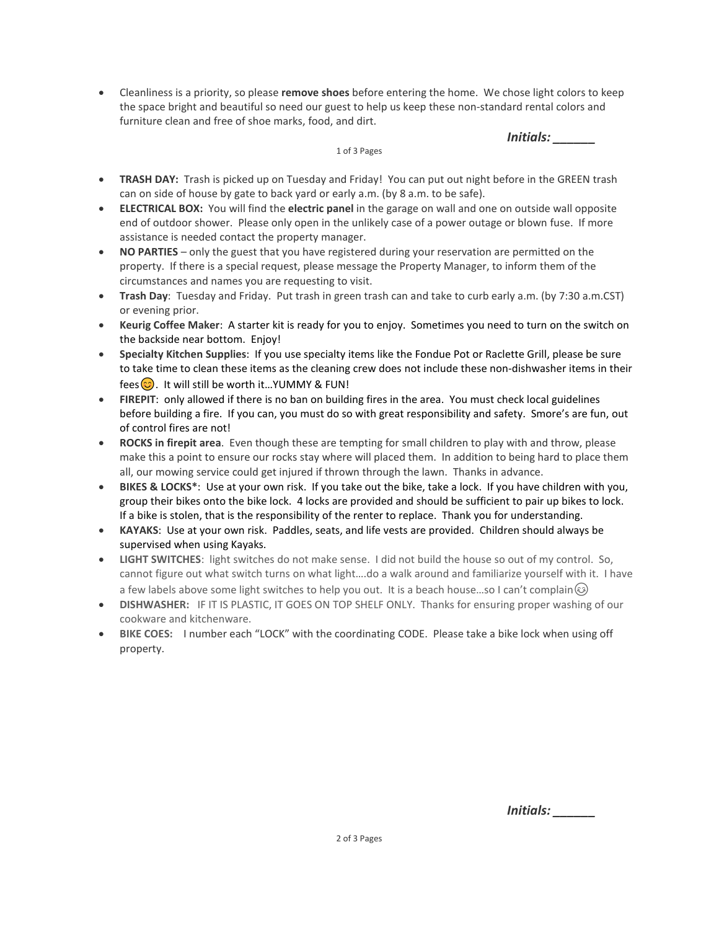• Cleanliness is a priority, so please **remove shoes** before entering the home. We chose light colors to keep the space bright and beautiful so need our guest to help us keep these non-standard rental colors and furniture clean and free of shoe marks, food, and dirt.

*Initials: \_\_\_\_\_\_*

1 of 3 Pages

- **TRASH DAY:** Trash is picked up on Tuesday and Friday! You can put out night before in the GREEN trash can on side of house by gate to back yard or early a.m. (by 8 a.m. to be safe).
- **ELECTRICAL BOX:** You will find the **electric panel** in the garage on wall and one on outside wall opposite end of outdoor shower. Please only open in the unlikely case of a power outage or blown fuse. If more assistance is needed contact the property manager.
- **NO PARTIES** only the guest that you have registered during your reservation are permitted on the property. If there is a special request, please message the Property Manager, to inform them of the circumstances and names you are requesting to visit.
- **Trash Day**: Tuesday and Friday. Put trash in green trash can and take to curb early a.m. (by 7:30 a.m.CST) or evening prior.
- **Keurig Coffee Maker**: A starter kit is ready for you to enjoy. Sometimes you need to turn on the switch on the backside near bottom. Enjoy!
- **Specialty Kitchen Supplies**: If you use specialty items like the Fondue Pot or Raclette Grill, please be sure to take time to clean these items as the cleaning crew does not include these non-dishwasher items in their fees $\circled{c}$ . It will still be worth it...YUMMY & FUN!
- **FIREPIT**: only allowed if there is no ban on building fires in the area. You must check local guidelines before building a fire. If you can, you must do so with great responsibility and safety. Smore's are fun, out of control fires are not!
- **ROCKS in firepit area**. Even though these are tempting for small children to play with and throw, please make this a point to ensure our rocks stay where will placed them. In addition to being hard to place them all, our mowing service could get injured if thrown through the lawn. Thanks in advance.
- **BIKES & LOCKS\***: Use at your own risk. If you take out the bike, take a lock. If you have children with you, group their bikes onto the bike lock. 4 locks are provided and should be sufficient to pair up bikes to lock. If a bike is stolen, that is the responsibility of the renter to replace. Thank you for understanding.
- **KAYAKS**: Use at your own risk. Paddles, seats, and life vests are provided. Children should always be supervised when using Kayaks.
- **LIGHT SWITCHES**: light switches do not make sense. I did not build the house so out of my control. So, cannot figure out what switch turns on what light….do a walk around and familiarize yourself with it. I have a few labels above some light switches to help you out. It is a beach house...so I can't complain  $\circledcirc$
- **DISHWASHER:** IF IT IS PLASTIC, IT GOES ON TOP SHELF ONLY. Thanks for ensuring proper washing of our cookware and kitchenware.
- **BIKE COES:** I number each "LOCK" with the coordinating CODE. Please take a bike lock when using off property.

*Initials: \_\_\_\_\_\_*